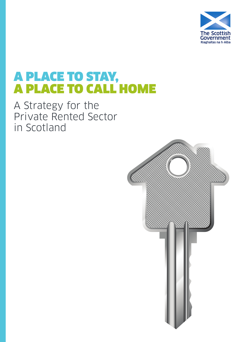

# A PLACE TO STAY, A PLACE TO CALL HOME

A Strategy for the Private Rented Sector in Scotland

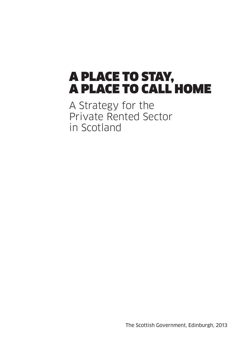# A PLACE TO STAY, A PLACE TO CALL HOME

A Strategy for the Private Rented Sector in Scotland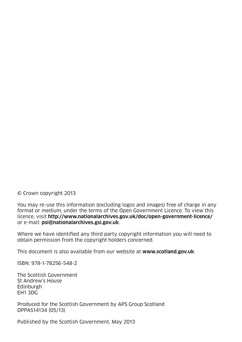© Crown copyright 2013

You may re-use this information (excluding logos and images) free of charge in any format or medium, under the terms of the Open Government Licence. To view this licence, visit **http://www.nationalarchives.gov.uk/doc/open-government-licence/**  or e-mail: **psi@nationalarchives.gsi.gov.uk**.

Where we have identified any third party copyright information you will need to obtain permission from the copyright holders concerned.

This document is also available from our website at **www.scotland.gov.uk**.

ISBN: 978-1-78256-548-2

The Scottish Government St Andrew's House Edinburgh EH1 3DG

Produced for the Scottish Government by APS Group Scotland DPPAS14134 (05/13)

Published by the Scottish Government, May 2013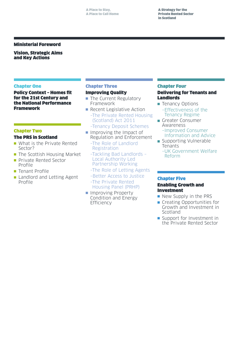#### Ministerial Foreword

Vision, Strategic Aims and Key Actions

#### Chapter One

Policy Context – Homes fit for the 21st Century and the National Performance Framework

#### Chapter Two

#### The PRS in Scotland

- $\blacksquare$  What is the Private Rented Sector?
- **n** The Scottish Housing Market
- **n** Private Rented Sector Profile
- $\blacksquare$  Tenant Profile
- **Landlord and Letting Agent** Profile

## Chapter Three

#### Improving Quality

- $\blacksquare$  The Current Regulatory Framework
- $\blacksquare$  Recent Legislative Action –The Private Rented Housing (Scotland) Act 2011
	- –Tenancy Deposit Schemes
- $\blacksquare$  Improving the Impact of Regulation and Enforcement –The Role of Landlord
	- Registration
	- –Tackling Bad Landlords Local Authority Led Partnership Working
	- –The Role of Letting Agents
	- –Better Access to Justice –The Private Rented Housing Panel (PRHP)
- **n** Improving Property Condition and Energy Efficiency

#### Chapter Four

## Delivering for Tenants and Landlords

- Tenancy Options –Effectiveness of the Tenancy Regime
- **n** Greater Consumer Awareness –Improved Consumer
	- Information and Advice
- **n** Supporting Vulnerable Tenants
	- –UK Government Welfare Reform

#### Chapter Five

### Enabling Growth and Investment

- $\blacksquare$  New Supply in the PRS
- **n** Creating Opportunities for Growth and Investment in Scotland
- **n** Support for Investment in the Private Rented Sector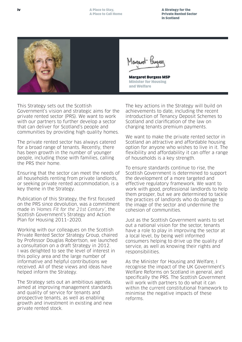A Strategy for the Private Rented Sector in Scotland



Margaret Burgess MSP Minister for Housing and Welfare

This Strategy sets out the Scottish Government's vision and strategic aims for the private rented sector (PRS). We want to work with our partners to further develop a sector that can deliver for Scotland's people and communities by providing high quality homes.

The private rented sector has always catered for a broad range of tenants. Recently, there has been growth in the number of younger people, including those with families, calling the PRS their home.

Ensuring that the sector can meet the needs of all households renting from private landlords, or seeking private rented accommodation, is a key theme in the Strategy.

Publication of this Strategy, the first focused on the PRS since devolution, was a commitment made in 'Homes Fit for the 21st Century', the Scottish Government's Strategy and Action Plan for Housing 2011–2020.

Working with our colleagues on the Scottish Private Rented Sector Strategy Group, chaired by Professor Douglas Robertson, we launched a consultation on a draft Strategy in 2012. I was delighted to see the level of interest in this policy area and the large number of informative and helpful contributions we received. All of these views and ideas have helped inform the Strategy.

The Strategy sets out an ambitious agenda, aimed at improving management standards and quality of service for tenants and prospective tenants, as well as enabling growth and investment in existing and new private rented stock.

The key actions in the Strategy will build on achievements to date, including the recent introduction of Tenancy Deposit Schemes to Scotland and clarification of the law on charging tenants premium payments.

We want to make the private rented sector in Scotland an attractive and affordable housing option for anyone who wishes to live in it. The flexibility and affordability it can offer a range of households is a key strength.

To ensure standards continue to rise, the Scottish Government is determined to support the development of a more targeted and effective regulatory framework. We want to work with good, professional landlords to help them prosper, but we are determined to tackle the practices of landlords who do damage to the image of the sector and undermine the cohesion of communities.

Just as the Scottish Government wants to set out a national vision for the sector, tenants have a role to play in improving the sector at a local level, by being well informed consumers helping to drive up the quality of service, as well as knowing their rights and responsibilities.

As the Minister for Housing and Welfare, I recognise the impact of the UK Government's Welfare Reforms on Scotland in general, and specifically the PRS. The Scottish Government will work with partners to do what it can within the current constitutional framework to minimise the negative impacts of these reforms.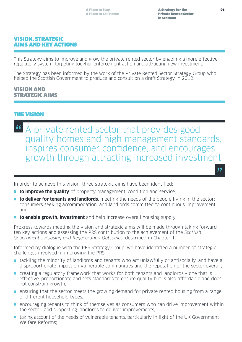## VISION, STRATEGIC AIMS AND KEY ACTIONS

This Strategy aims to improve and grow the private rented sector by enabling a more effective regulatory system, targeting tougher enforcement action and attracting new investment.

The Strategy has been informed by the work of the Private Rented Sector Strategy Group who helped the Scottish Government to produce and consult on a draft Strategy in 2012.

## VISION AND STRATEGIC AIMS

## THE VISION

<sup>"</sup> A private rented sector that provides good<br>quality homes and high management stand quality homes and high management standards, inspires consumer confidence, and encourages growth through attracting increased investment

In order to achieve this vision, three strategic aims have been identified:

- **to improve the quality** of property management, condition and service;
- **n** to deliver for tenants and landlords, meeting the needs of the people living in the sector; consumers seeking accommodation; and landlords committed to continuous improvement; and
- **to enable growth, investment** and help increase overall housing supply.

Progress towards meeting the vision and strategic aims will be made through taking forward ten key actions and assessing the PRS contribution to the achievement of the Scottish Government's Housing and Regeneration Outcomes, described in Chapter 1.

Informed by dialogue with the PRS Strategy Group, we have identified a number of strategic challenges involved in improving the PRS:

- $\blacksquare$  tackling the minority of landlords and tenants who act unlawfully or antisocially, and have a disproportionate impact on vulnerable communities and the reputation of the sector overall;
- $\blacksquare$  creating a regulatory framework that works for both tenants and landlords one that is effective, proportionate and sets standards to ensure quality but is also affordable and does not constrain growth;
- **n** ensuring that the sector meets the growing demand for private rented housing from a range of different household types;
- n encouraging tenants to think of themselves as consumers who can drive improvement within the sector; and supporting landlords to deliver improvements;
- **n** taking account of the needs of vulnerable tenants, particularly in light of the UK Government Welfare Reforms;

"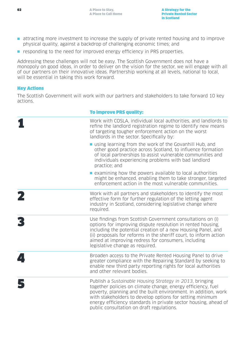- n attracting more investment to increase the supply of private rented housing and to improve physical quality, against a backdrop of challenging economic times; and
- **n** responding to the need for improved energy efficiency in PRS properties.

Addressing these challenges will not be easy. The Scottish Government does not have a monopoly on good ideas, in order to deliver on the vision for the sector, we will engage with all of our partners on their innovative ideas. Partnership working at all levels, national to local, will be essential in taking this work forward.

## Key Actions

The Scottish Government will work with our partners and stakeholders to take forward 10 key actions.

| <b>To improve PRS quality:</b>                                                                                                                                                                                                                                                                                                                                         |
|------------------------------------------------------------------------------------------------------------------------------------------------------------------------------------------------------------------------------------------------------------------------------------------------------------------------------------------------------------------------|
| Work with COSLA, individual local authorities, and landlords to<br>refine the landlord registration regime to identify new means<br>of targeting tougher enforcement action on the worst<br>landlords in the sector. Specifically by:                                                                                                                                  |
| ■ using learning from the work of the Govanhill Hub, and<br>other good practice across Scotland, to influence formation<br>of local partnerships to assist vulnerable communities and<br>individuals experiencing problems with bad landlord<br>practice; and                                                                                                          |
| $\blacksquare$ examining how the powers available to local authorities<br>might be enhanced, enabling them to take stronger, targeted<br>enforcement action in the most vulnerable communities.                                                                                                                                                                        |
| Work with all partners and stakeholders to identify the most<br>effective form for further regulation of the letting agent<br>industry in Scotland, considering legislative change where<br>required.                                                                                                                                                                  |
| Use findings from Scottish Government consultations on (i)<br>options for improving dispute resolution in rented housing,<br>including the potential creation of a new Housing Panel, and<br>(ii) proposals for reforms in the sheriff court, to inform action<br>aimed at improving redress for consumers, including<br>legislative change as required.               |
| Broaden access to the Private Rented Housing Panel to drive<br>greater compliance with the Repairing Standard by seeking to<br>enable new third party reporting rights for local authorities<br>and other relevant bodies.                                                                                                                                             |
| Publish a Sustainable Housing Strategy in 2013, bringing<br>together policies on climate change, energy efficiency, fuel<br>poverty, planning and the built environment. In addition, work<br>with stakeholders to develop options for setting minimum<br>energy efficiency standards in private sector housing, ahead of<br>public consultation on draft regulations. |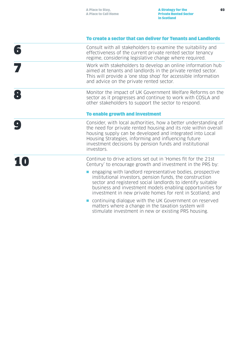## To create a sector that can deliver for Tenants and Landlords

| Consult with all stakeholders to examine the suitability and<br>effectiveness of the current private rented sector tenancy<br>regime, considering legislative change where required.                                                                                                                                             |
|----------------------------------------------------------------------------------------------------------------------------------------------------------------------------------------------------------------------------------------------------------------------------------------------------------------------------------|
| Work with stakeholders to develop an online information hub<br>aimed at tenants and landlords in the private rented sector.<br>This will provide a 'one stop shop' for accessible information<br>and advice on the private rented sector.                                                                                        |
| Monitor the impact of UK Government Welfare Reforms on the<br>sector as it progresses and continue to work with COSLA and<br>other stakeholders to support the sector to respond.                                                                                                                                                |
| To enable growth and investment                                                                                                                                                                                                                                                                                                  |
| Consider, with local authorities, how a better understanding of<br>the need for private rented housing and its role within overall<br>housing supply can be developed and integrated into Local<br>Housing Strategies, informing and influencing future<br>investment decisions by pension funds and institutional<br>investors. |
| Continue to drive actions set out in 'Homes fit for the 21st<br>Century' to encourage growth and investment in the PRS by:                                                                                                                                                                                                       |
| engaging with landlord representative bodies, prospective<br>institutional investors, pension funds, the construction<br>sector and registered social landlords to identify suitable<br>business and investment models enabling opportunities for<br>investment in new private homes for rent in Scotland; and                   |
| continuing dialogue with the UK Government on reserved<br>matters where a change in the taxation system will<br>stimulate investment in new or existing PRS housing.                                                                                                                                                             |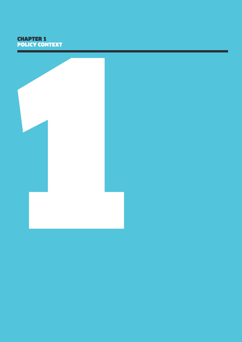# CHAPTER 1 POLICY CONTEXT

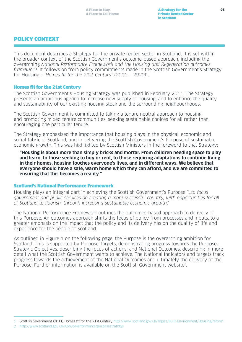# POLICY CONTEXT

This document describes a Strategy for the private rented sector in Scotland. It is set within the broader context of the Scottish Government's outcome-based approach, including the overarching National Performance Framework and the Housing and Regeneration outcomes framework. It follows on from policy commitments made in the Scottish Government's Strategy for Housing - 'Homes fit for the 21st Century'  $(2011 - 2020)^1$ .

#### Homes fit for the 21st Century

The Scottish Government's Housing Strategy was published in February 2011. The Strategy presents an ambitious agenda to increase new supply of housing, and to enhance the quality and sustainability of our existing housing stock and the surrounding neighbourhoods.

The Scottish Government is committed to taking a tenure neutral approach to housing and promoting mixed tenure communities, seeking sustainable choices for all rather than encouraging one particular tenure.

The Strategy emphasised the importance that housing plays in the physical, economic and social fabric of Scotland, and in delivering the Scottish Government's Purpose of sustainable economic growth. This was highlighted by Scottish Ministers in the foreword to that Strategy:

**"Housing is about more than simply bricks and mortar. From children needing space to play and learn, to those seeking to buy or rent, to those requiring adaptations to continue living in their homes, housing touches everyone's lives, and in different ways. We believe that everyone should have a safe, warm home which they can afford, and we are committed to ensuring that this becomes a reality."**

#### Scotland's National Performance Framework

Housing plays an integral part in achieving the Scottish Government's Purpose "…to focus government and public services on creating a more successful country, with opportunities for all of Scotland to flourish, through increasing sustainable economic growth."

The National Performance Framework outlines the outcomes-based approach to delivery of this Purpose. An outcomes approach shifts the focus of policy from processes and inputs, to a greater emphasis on the impact that the policy and its delivery has on the quality of life and experience for the people of Scotland.

As outlined in Figure 1 on the following page, the Purpose is the overarching ambition for Scotland. This is supported by Purpose Targets, demonstrating progress towards the Purpose; Strategic Objectives, describing the focus of actions; and National Outcomes, describing in more detail what the Scottish Government wants to achieve. The National Indicators and targets track progress towards the achievement of the National Outcomes and ultimately the delivery of the Purpose. Further information is available on the Scottish Government website2.

<sup>1</sup> Scottish Government (2011) Homes fit for the 21st Century<http://www.scotland.gov.uk/Topics/Built-Environment/Housing/reform>

<sup>2</sup> http://www.scotland.gov.uk/About/Performance/purposestratobjs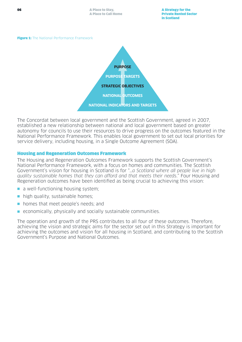



The Concordat between local government and the Scottish Government, agreed in 2007, established a new relationship between national and local government based on greater autonomy for councils to use their resources to drive progress on the outcomes featured in the National Performance Framework. This enables local government to set out local priorities for service delivery, including housing, in a Single Outcome Agreement (SOA).

#### Housing and Regeneration Outcomes Framework

The Housing and Regeneration Outcomes Framework supports the Scottish Government's National Performance Framework, with a focus on homes and communities. The Scottish Government's vision for housing in Scotland is for "…a Scotland where all people live in high quality sustainable homes that they can afford and that meets their needs." Four Housing and Regeneration outcomes have been identified as being crucial to achieving this vision:

- $\blacksquare$  a well-functioning housing system;
- $\blacksquare$  high quality, sustainable homes;
- n homes that meet people's needs; and
- **E** economically, physically and socially sustainable communities.

The operation and growth of the PRS contributes to all four of these outcomes. Therefore, achieving the vision and strategic aims for the sector set out in this Strategy is important for achieving the outcomes and vision for all housing in Scotland, and contributing to the Scottish Government's Purpose and National Outcomes.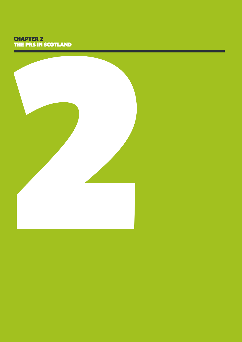# CHAPTER 2 THE PRS IN SCOTLAND

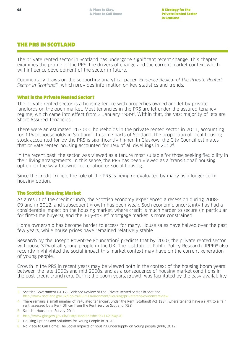# THE PRS IN SCOTLAND

The private rented sector in Scotland has undergone significant recent change. This chapter examines the profile of the PRS, the drivers of change and the current market context which will influence development of the sector in future.

Commentary draws on the supporting analytical paper 'Evidence Review of the Private Rented Sector in Scotland<sup>'3</sup>, which provides information on key statistics and trends.

### What is the Private Rented Sector?

The private rented sector is a housing tenure with properties owned and let by private landlords on the open market. Most tenancies in the PRS are let under the assured tenancy regime, which came into effect from 2 January 19894. Within that, the vast majority of lets are Short Assured Tenancies.

There were an estimated 267,000 households in the private rented sector in 2011, accounting for 11% of households in Scotland<sup>5</sup>. In some parts of Scotland, the proportion of local housing stock accounted for by the PRS is significantly higher. In Glasgow, the City Council estimates that private rented housing accounted for 19% of all dwellings in 20126.

In the recent past, the sector was viewed as a tenure most suitable for those seeking flexibility in their living arrangements. In this sense, the PRS has been viewed as a 'transitional' housing option on the way to owner occupation or social housing.

Since the credit crunch, the role of the PRS is being re-evaluated by many as a longer-term housing option.

#### The Scottish Housing Market

As a result of the credit crunch, the Scottish economy experienced a recession during 2008- 09 and in 2012, and subsequent growth has been weak. Such economic uncertainty has had a considerable impact on the housing market, where credit is much harder to secure (in particular for first-time buyers), and the 'Buy-to-Let' mortgage market is more constrained.

Home ownership has become harder to access for many. House sales have halved over the past few years, while house prices have remained relatively stable.

Research by the Joseph Rowntree Foundation<sup>7</sup> predicts that by 2020, the private rented sector will house 37% of all young people in the UK. The Institute of Public Policy Research (IPPR)<sup>8</sup> also recently highlighted the social impact this market context may have on the current generation of young people.

Growth in the PRS in recent years may be viewed both in the context of the housing boom years between the late 1990s and mid 2000s, and as a consequence of housing market conditions in the post-credit-crunch era. During the boom years, growth was facilitated by the easy availability

<sup>3</sup> Scottish Government (2012) Evidence Review of the Private Rented Sector in Scotland <http://www.scotland.gov.uk/Topics/Built-Environment/Housing/privaterent/evidencereview>

<sup>4</sup> There remains a small number of 'regulated tenancies', under the Rent (Scotland) Act 1984, where tenants have a right to a 'fair rent' assessed by a Rent Officer from the Rent Service Scotland (RSS)

<sup>5</sup> Scottish Household Survey 2011

<sup>6</sup> <http://www.glasgow.gov.uk/CHttpHandler.ashx?id=14215&p=0>

<sup>7</sup> Housing Options and Solutions for Young People in 2020

<sup>8</sup> No Place to Call Home: The Social Impacts of housing undersupply on young people (IPPR, 2012)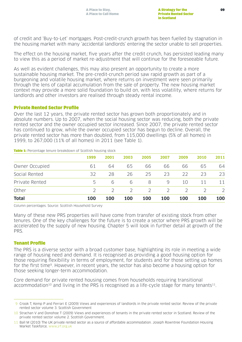of credit and 'Buy-to-Let' mortgages. Post-credit-crunch growth has been fuelled by stagnation in the housing market with many 'accidental landlords' entering the sector unable to sell properties.

The effect on the housing market, five years after the credit crunch, has persisted leading many to view this as a period of market re-adjustment that will continue for the foreseeable future.

As well as evident challenges, this may also present an opportunity to create a more sustainable housing market. The pre-credit-crunch period saw rapid growth as part of a burgeoning and volatile housing market, where returns on investment were seen primarily through the lens of capital accumulation from the sale of property. The new housing market context may provide a more solid foundation to build on, with less volatility, where returns for landlords and other investors are realised through steady rental income.

#### Private Rented Sector Profile

Over the last 12 years, the private rented sector has grown both proportionately and in absolute numbers. Up to 2007, when the social housing sector was reducing, both the private rented sector and the owner occupied sector increased. Since 2007, the private rented sector has continued to grow, while the owner occupied sector has begun to decline. Overall, the private rented sector has more than doubled, from 115,000 dwellings (5% of all homes) in 1999, to 267,000 (11% of all homes) in 2011 (see Table 1).

| <b>Total</b>   | 100  | 100           | <b>100</b>    | 100           | 100           | 100           | <b>100</b> | 100  |
|----------------|------|---------------|---------------|---------------|---------------|---------------|------------|------|
| Other          |      | $\mathcal{P}$ | $\mathcal{L}$ | $\mathcal{P}$ | $\mathcal{L}$ | $\mathcal{P}$ |            | 2    |
| Private Rented | 5    | 6             | 6             | 8             | 9             | 10            | 11         | 11   |
| Social Rented  | 32   | 28            | 26            | 25            | 23            | 22            | 73         | 23   |
| Owner Occupied | 61   | 64            | 65            | 66            | 66            | 66            | 65         | 64   |
|                | 1999 | 2001          | 2003          | 2005          | 2007          | 2009          | 2010       | 2011 |

**Table 1:** Percentage tenure breakdown of Scottish housing stock

Column percentages. Source: Scottish Household Survey

Many of these new PRS properties will have come from transfer of existing stock from other tenures. One of the key challenges for the future is to create a sector where PRS growth will be accelerated by the supply of new housing. Chapter 5 will look in further detail at growth of the PRS.

#### Tenant Profile

The PRS is a diverse sector with a broad customer base, highlighting its role in meeting a wide range of housing need and demand. It is recognised as providing a good housing option for those requiring flexibility in terms of employment, for students and for those setting up homes for the first time9. However, in recent years, the sector has also become a housing option for those seeking longer-term accommodation.

Core demand for private rented housing comes from households requiring transitional accommodation<sup>10</sup> and living in the PRS is recognised as a life-cycle stage for many tenants<sup>11</sup>.

<sup>9</sup> Crook T, Kemp P and Ferrari E (2009) Views and experiences of landlords in the private rented sector. Review of the private rented sector volume 3. Scottish Government

<sup>10</sup> Strachan V and Donohoe T (2009) Views and experiences of tenants in the private rented sector in Scotland. Review of the private rented sector volume 2. Scottish Government.

<sup>11</sup> Ball M (2010) The UK private rented sector as a source of affordable accommodation. Joseph Rowntree Foundation Housing Market Taskforce. [www.jrf.org.uk](http://www.jrs.org.uk/)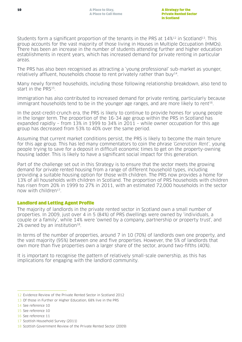Students form a significant proportion of the tenants in the PRS at 14%<sup>12</sup> in Scotland<sup>13</sup>. This group accounts for the vast majority of those living in Houses in Multiple Occupation (HMOs). There has been an increase in the number of students attending further and higher education establishments in recent years, which has increased demand for private renting in particular areas.

The PRS has also been recognised as attracting a 'young professional' sub-market as younger, relatively affluent, households choose to rent privately rather than buy<sup>14</sup>.

Many newly formed households, including those following relationship breakdown, also tend to start in the PRS15.

Immigration has also contributed to increased demand for private renting, particularly because immigrant households tend to be in the younger age ranges, and are more likely to rent<sup>16</sup>.

In the post-credit-crunch era, the PRS is likely to continue to provide homes for young people in the longer term. The proportion of the 16-34 age group within the PRS in Scotland has expanded rapidly – from 13% in 1999 to 34% in 2011 – while owner occupation for this age group has decreased from 53% to 40% over the same period.

Assuming that current market conditions persist, the PRS is likely to become the main tenure for this age group. This has led many commentators to coin the phrase 'Generation Rent', young people trying to save for a deposit in difficult economic times to get on the property-owning housing ladder. This is likely to have a significant social impact for this generation.

Part of the challenge set out in this Strategy is to ensure that the sector meets the growing demand for private rented housing from a range of different household types, including providing a suitable housing option for those with children. The PRS now provides a home for 13% of all households with children in Scotland. The proportion of PRS households with children has risen from 20% in 1999 to 27% in 2011, with an estimated 72,000 households in the sector now with children<sup>17</sup>

## Landlord and Letting Agent Profile

The majority of landlords in the private rented sector in Scotland own a small number of properties. In 2009, just over 4 in 5 (84%) of PRS dwellings were owned by 'individuals, a couple or a family', while 14% were 'owned by a company, partnership or property trust', and 2% owned by an institution $18$ .

In terms of the number of properties, around 7 in 10 (70%) of landlords own one property, and the vast majority (95%) between one and five properties. However, the 5% of landlords that own more than five properties own a larger share of the sector, around two-fifths (40%).

It is important to recognise the pattern of relatively small-scale ownership, as this has implications for engaging with the landlord community.

<sup>12</sup> Evidence Review of the Private Rented Sector in Scotland 2012

<sup>13</sup> Of those in Further or Higher Education, 68% live in the PRS

<sup>14</sup> See reference 10

<sup>15</sup> See reference 10

<sup>16</sup> See reference 11

<sup>17</sup> Scottish Household Survey (2011)

<sup>18</sup> Scottish Government Review of the Private Rented Sector (2009)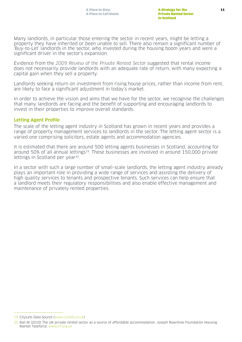Many landlords, in particular those entering the sector in recent years, might be letting a property they have inherited or been unable to sell. There also remain a significant number of 'Buy-to-Let' landlords in the sector, who invested during the housing boom years and were a significant driver in the sector's expansion.

Evidence from the 2009 Review of the Private Rented Sector suggested that rental income does not necessarily provide landlords with an adequate rate of return, with many expecting a capital gain when they sell a property.

Landlords seeking return on investment from rising house prices, rather than income from rent, are likely to face a significant adjustment in today's market.

In order to achieve the vision and aims that we have for the sector, we recognise the challenges that many landlords are facing and the benefit of supporting and encouraging landlords to invest in their properties to improve overall standards.

### **Letting Agent Profile**

The scale of the letting agent industry in Scotland has grown in recent years and provides a range of property management services to landlords in the sector. The letting agent sector is a varied one comprising solicitors, estate agents and accommodation agencies.

It is estimated that there are around 500 letting agents businesses in Scotland, accounting for around 50% of all annual lettings<sup>19</sup>. These businesses are involved in around 150,000 private lettings in Scotland per year<sup>20</sup>.

In a sector with such a large number of small-scale landlords, the letting agent industry already plays an important role in providing a wide range of services and assisting the delivery of high quality services to tenants and prospective tenants. Such services can help ensure that a landlord meets their regulatory responsibilities and also enable effective management and maintenance of privately rented properties.

<sup>19</sup> CityLets Data Source (www.citylets.co.uk)

<sup>20</sup> Ball M (2010) The UK private rented sector as a source of affordable accommodation. Joseph Rowntree Foundation Housing Market Taskforce. [www.jrf.org.uk](http://www.jrs.org.uk/)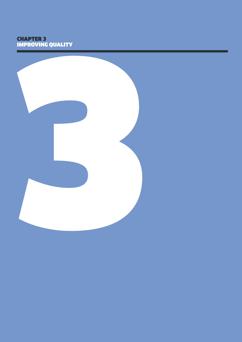# CHAPTER 3 IMPROVING QUALITY

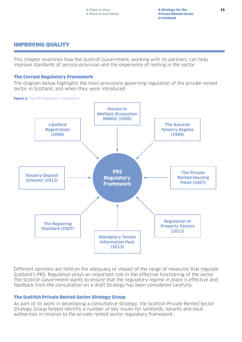# IMPROVING QUALITY

This chapter examines how the Scottish Government, working with its partners, can help improve standards of service provision and the experience of renting in the sector.

#### The Current Regulatory Framework

The diagram below highlights the main provisions governing regulation of the private rented sector in Scotland, and when they were introduced.

#### Figure 2: The PRS Regulatory Framework



Different opinions are held on the adequacy or impact of the range of measures that regulate Scotland's PRS. Regulation plays an important role in the effective functioning of the sector. The Scottish Government wants to ensure that the regulatory regime in place is effective and feedback from the consultation on a draft Strategy has been considered carefully.

#### The Scottish Private Rented Sector Strategy Group

As part of its work in developing a consultative Strategy, the Scottish Private Rented Sector Strategy Group helped identify a number of key issues for landlords, tenants and local authorities in relation to the private rented sector regulatory framework: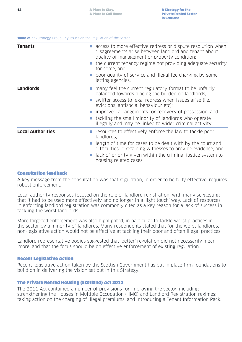#### Table 2: PRS Strategy Group Key Issues on the Regulation of the Sector

| <b>Tenants</b>           | access to more effective redress or dispute resolution when<br>disagreements arise between landlord and tenant about<br>quality of management or property condition;<br>$\blacksquare$ the current tenancy regime not providing adequate security<br>for some; and<br>poor quality of service and illegal fee charging by some<br>letting agencies.                                         |
|--------------------------|---------------------------------------------------------------------------------------------------------------------------------------------------------------------------------------------------------------------------------------------------------------------------------------------------------------------------------------------------------------------------------------------|
| <b>Landlords</b>         | many feel the current regulatory format to be unfairly<br>balanced towards placing the burden on landlords;<br>swifter access to legal redress when issues arise (i.e.<br>evictions, antisocial behaviour etc);<br>improved arrangements for recovery of possession; and<br>tackling the small minority of landlords who operate<br>illegally and may be linked to wider criminal activity. |
| <b>Local Authorities</b> | resources to effectively enforce the law to tackle poor<br>landlords:<br>length of time for cases to be dealt with by the court and<br>difficulties in retaining witnesses to provide evidence; and<br>lack of priority given within the criminal justice system to<br>housing related cases.                                                                                               |

#### Consultation feedback

A key message from the consultation was that regulation, in order to be fully effective, requires robust enforcement.

Local authority responses focused on the role of landlord registration, with many suggesting that it had to be used more effectively and no longer in a 'light touch' way. Lack of resources in enforcing landlord registration was commonly cited as a key reason for a lack of success in tackling the worst landlords.

More targeted enforcement was also highlighted, in particular to tackle worst practices in the sector by a minority of landlords. Many respondents stated that for the worst landlords, non-legislative action would not be effective at tackling their poor and often illegal practices.

Landlord representative bodies suggested that 'better' regulation did not necessarily mean 'more' and that the focus should be on effective enforcement of existing regulation.

#### Recent Legislative Action

Recent legislative action taken by the Scottish Government has put in place firm foundations to build on in delivering the vision set out in this Strategy.

#### The Private Rented Housing (Scotland) Act 2011

The 2011 Act contained a number of provisions for improving the sector, including strengthening the Houses in Multiple Occupation (HMO) and Landlord Registration regimes; taking action on the charging of illegal premiums; and introducing a Tenant Information Pack.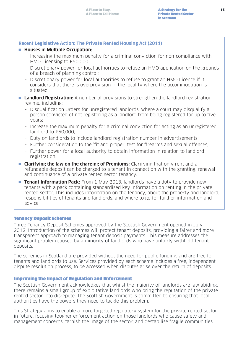#### **Recent Legislative Action: The Private Rented Housing Act (2011)**

#### ■ Houses in Multiple Occupation:

- Increasing the maximum penalty for a criminal conviction for non-compliance with HMO Licensing to £50,000;
- Discretionary power for local authorities to refuse an HMO application on the grounds of a breach of planning control;
- Discretionary power for local authorities to refuse to grant an HMO Licence if it considers that there is overprovision in the locality where the accommodation is situated.
- **Landlord Registration:** A number of provisions to strengthen the landlord registration regime, including:
	- Disqualification Orders for unregistered landlords, where a court may disqualify a person convicted of not registering as a landlord from being registered for up to five years;
	- Increase the maximum penalty for a criminal conviction for acting as an unregistered landlord to £50,000;
	- Duty on landlords to include landlord registration number in advertisements;
	- Further consideration to the 'fit and proper' test for firearms and sexual offences;
	- Further power for a local authority to obtain information in relation to landlord registration.
- **n Clarifying the law on the charging of Premiums:** Clarifying that only rent and a refundable deposit can be charged to a tenant in connection with the granting, renewal and continuance of a private rented sector tenancy.
- **Tenant Information Pack:** From 1 May 2013, landlords have a duty to provide new tenants with a pack containing standardised key information on renting in the private rented sector. This includes information on the tenancy; about the property and landlord; responsibilities of tenants and landlords; and where to go for further information and advice.

#### Tenancy Deposit Schemes

Three Tenancy Deposit Schemes approved by the Scottish Government opened in July 2012. Introduction of the schemes will protect tenant deposits, providing a fairer and more transparent approach to managing tenant deposit payments. This measure addresses the significant problem caused by a minority of landlords who have unfairly withheld tenant deposits.

The schemes in Scotland are provided without the need for public funding, and are free for tenants and landlords to use. Services provided by each scheme includes a free, independent dispute resolution process, to be accessed when disputes arise over the return of deposits.

#### Improving the Impact of Regulation and Enforcement

The Scottish Government acknowledges that whilst the majority of landlords are law abiding, there remains a small group of exploitative landlords who bring the reputation of the private rented sector into disrepute. The Scottish Government is committed to ensuring that local authorities have the powers they need to tackle this problem.

This Strategy aims to enable a more targeted regulatory system for the private rented sector in future, focusing tougher enforcement action on those landlords who cause safety and management concerns; tarnish the image of the sector; and destabilise fragile communities.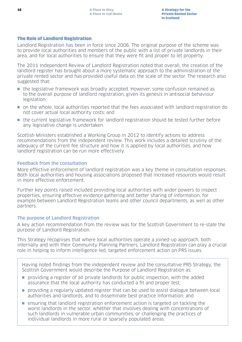### The Role of Landlord Registration

Landlord Registration has been in force since 2006. The original purpose of the scheme was to provide local authorities and members of the public with a list of private landlords in their area, and for local authorities to ensure that they were fit and proper to let property.

The 2011 Independent Review of Landlord Registration noted that overall, the creation of the landlord register has brought about a more systematic approach to the administration of the private rented sector and has provided useful data on the scale of the sector. The research also suggested that:

- n the legislative framework was broadly accepted. However, some confusion remained as to the overall purpose of landlord registration, given its genesis in antisocial behaviour legislation;
- n on the whole, local authorities reported that the fees associated with landlord registration do not cover actual local authority costs; and
- n the current legislative framework for landlord registration should be tested further before any legislative change is undertaken.

Scottish Ministers established a Working Group in 2012 to identify actions to address recommendations from the independent review. This work includes a detailed scrutiny of the adequacy of the current fee structure and how it is applied by local authorities, and how landlord registration can be run more effectively.

## Feedback from the consultation

More effective enforcement of landlord registration was a key theme in consultation responses. Both local authorities and housing associations proposed that increased resources would result in more effective enforcement.

Further key points raised included providing local authorities with wider powers to inspect properties, ensuring effective evidence gathering and better sharing of information, for example between Landlord Registration teams and other council departments, as well as other partners.

## The purpose of Landlord Registration

A key action recommendation from the review was for the Scottish Government to re-state the purpose of Landlord Registration.

This Strategy recognises that where local authorities operate a joined-up approach, both internally and with their Community Planning Partners, Landlord Registration can play a crucial role in helping to inform intelligence-led, targeted enforcement action on PRS issues.

Having noted findings from the independent review and the consultative PRS Strategy, the Scottish Government would describe the Purpose of Landlord Registration as:

- n providing a register of all private landlords for public inspection, with the added assurance that the local authority has conducted a fit and proper test;
- n providing a regularly updated register that can be used to assist dialogue between local authorities and landlords, and to disseminate best practice information; and
- $\blacksquare$  ensuring that landlord registration enforcement action is targeted on tackling the worst landlords in the sector, whether that involves dealing with concentrations of such landlords in vulnerable urban communities, or challenging the practices of individual landlords in more rural or sparsely populated areas.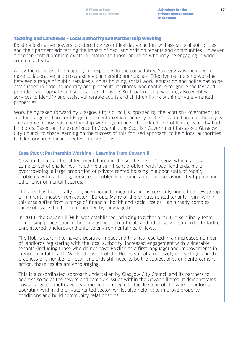#### Tackling Bad Landlords – Local Authority Led Partnership Working

Existing legislative powers, bolstered by recent legislative action, will assist local authorities and their partners addressing the impact of bad landlords on tenants and communities. However, a deeper-rooted problem exists in relation to those landlords who may be engaging in wider criminal activity.

A key theme across the majority of responses to the consultative Strategy was the need for more collaborative and cross-agency partnership approaches. Effective partnership working between a range of public services such as housing, social work, education and police has to be established in order to identify and prosecute landlords who continue to ignore the law and provide inappropriate and sub-standard housing. Such partnership working also enables services to identify and assist vulnerable adults and children living within privately rented properties.

Work being taken forward by Glasgow City Council, supported by the Scottish Government, to conduct targeted Landlord Registration enforcement activity in the Govanhill area of the city is an example of how such partnership working can begin to tackle the problems created by bad landlords. Based on the experience in Govanhill, the Scottish Government has asked Glasgow City Council to share learning on the success of this focused approach, to help local authorities to take forward similar targeted interventions.

## **Case Study: Partnership Working – Learning from Govanhill**

Govanhill is a traditional tenemental area in the south side of Glasgow which faces a complex set of challenges including: a significant problem with 'bad' landlords, major overcrowding, a large proportion of private rented housing in a poor state of repair, problems with factoring, persistent problems of crime, antisocial behaviour, fly tipping and other environmental hazards.

The area has historically long been home to migrants, and is currently home to a new group of migrants, mostly from eastern Europe. Many of the private rented tenants living within this area suffer from a range of financial, health and social issues – an already complex range of issues further compounded by language barriers.

In 2011, the Govanhill 'Hub' was established, bringing together a multi-disciplinary team comprising police, council, housing association officials and other services in order to tackle unregistered landlords and enforce environmental health laws.

The Hub is starting to have a positive impact and this has resulted in an increased number of landlords registering with the local authority, increased engagement with vulnerable tenants (including those who do not have English as a first language) and improvements in environmental health. Whilst the work of the Hub is still at a relatively early stage, and the practices of a number of local landlords still need to be the subject of strong enforcement action, these results are encouraging.

This is a co-ordinated approach undertaken by Glasgow City Council and its partners to address some of the severe and complex issues within the Govanhill area. It demonstrates how a targeted, multi-agency approach can begin to tackle some of the worst landlords operating within the private rented sector, whilst also helping to improve property conditions and build community relationships.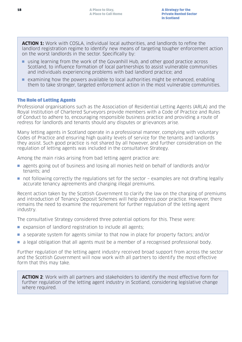**ACTION 1:** Work with COSLA, individual local authorities, and landlords to refine the landlord registration regime to identify new means of targeting tougher enforcement action on the worst landlords in the sector. Specifically by:

- n using learning from the work of the Govanhill Hub, and other good practice across Scotland, to influence formation of local partnerships to assist vulnerable communities and individuals experiencing problems with bad landlord practice; and
- $\blacksquare$  examining how the powers available to local authorities might be enhanced, enabling them to take stronger, targeted enforcement action in the most vulnerable communities.

### The Role of Letting Agents

Professional organisations such as the Association of Residential Letting Agents (ARLA) and the Royal Institution of Chartered Surveyors provide members with a Code of Practice and Rules of Conduct to adhere to, encouraging responsible business practice and providing a route of redress for landlords and tenants should any disputes or grievances arise.

Many letting agents in Scotland operate in a professional manner, complying with voluntary Codes of Practice and ensuring high quality levels of service for the tenants and landlords they assist. Such good practice is not shared by all however, and further consideration on the regulation of letting agents was included in the consultative Strategy.

Among the main risks arising from bad letting agent practice are:

- **n** agents going out of business and losing all monies held on behalf of landlords and/or tenants; and
- $\blacksquare$  not following correctly the regulations set for the sector examples are not drafting legally accurate tenancy agreements and charging illegal premiums.

Recent action taken by the Scottish Government to clarify the law on the charging of premiums and introduction of Tenancy Deposit Schemes will help address poor practice. However, there remains the need to examine the requirement for further regulation of the letting agent industry.

The consultative Strategy considered three potential options for this. These were:

- $\blacksquare$  expansion of landlord registration to include all agents;
- **n** a separate system for agents similar to that now in place for property factors; and/or
- n a legal obligation that all agents must be a member of a recognised professional body.

Further regulation of the letting agent industry received broad support from across the sector and the Scottish Government will now work with all partners to identify the most effective form that this may take.

**ACTION 2**: Work with all partners and stakeholders to identify the most effective form for further regulation of the letting agent industry in Scotland, considering legislative change where required.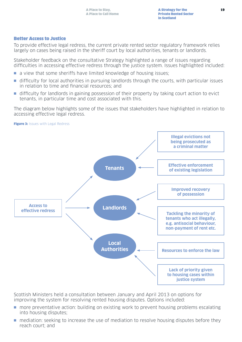### Better Access to Justice

To provide effective legal redress, the current private rented sector regulatory framework relies largely on cases being raised in the sheriff court by local authorities, tenants or landlords.

Stakeholder feedback on the consultative Strategy highlighted a range of issues regarding difficulties in accessing effective redress through the justice system. Issues highlighted included:

- n a view that some sheriffs have limited knowledge of housing issues;
- n difficulty for local authorities in pursuing landlords through the courts, with particular issues in relation to time and financial resources; and
- difficulty for landlords in gaining possession of their property by taking court action to evict tenants, in particular time and cost associated with this.

The diagram below highlights some of the issues that stakeholders have highlighted in relation to accessing effective legal redress.



Scottish Ministers held a consultation between January and April 2013 on options for improving the system for resolving rented housing disputes. Options included:

- **n** more preventative action: building on existing work to prevent housing problems escalating into housing disputes;
- n mediation: seeking to increase the use of mediation to resolve housing disputes before they reach court; and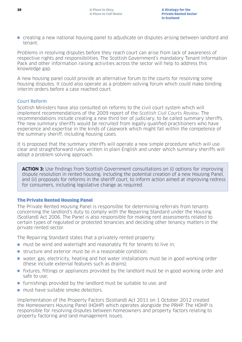n creating a new national housing panel to adjudicate on disputes arising between landlord and tenant.

Problems in resolving disputes before they reach court can arise from lack of awareness of respective rights and responsibilities. The Scottish Government's mandatory Tenant Information Pack and other information raising activities across the sector will help to address this knowledge gap.

A new housing panel could provide an alternative forum to the courts for resolving some housing disputes. It could also operate as a problem-solving forum which could make binding interim orders before a case reached court.

## Court Reform

Scottish Ministers have also consulted on reforms to the civil court system which will implement recommendations of the 2009 report of the Scottish Civil Courts Review. The recommendations include creating a new third tier of judiciary, to be called summary sheriffs. The new summary sheriffs would be recruited from legally qualified practitioners who have experience and expertise in the kinds of casework which might fall within the competence of the summary sheriff, including housing cases.

It is proposed that the summary sheriffs will operate a new simple procedure which will use clear and straightforward rules written in plain English and under which summary sheriffs will adopt a problem solving approach.

**ACTION 3:** Use findings from Scottish Government consultations on (i) options for improving dispute resolution in rented housing, including the potential creation of a new Housing Panel, and (ii) proposals for reforms in the sheriff court, to inform action aimed at improving redress for consumers, including legislative change as required.

#### The Private Rented Housing Panel

The Private Rented Housing Panel is responsible for determining referrals from tenants concerning the landlord's duty to comply with the Repairing Standard under the Housing (Scotland) Act 2006. The Panel is also responsible for making rent assessments related to certain types of regulated or protected tenancies and deciding other tenancy matters in the private rented sector.

The Repairing Standard states that a privately rented property:

- $\blacksquare$  must be wind and watertight and reasonably fit for tenants to live in;
- $\blacksquare$  structure and exterior must be in a reasonable condition;
- water, gas, electricity, heating and hot water installations must be in good working order (these include external features such as drains);
- n fixtures, fittings or appliances provided by the landlord must be in good working order and safe to use;
- $\blacksquare$  furnishings provided by the landlord must be suitable to use; and
- n must have suitable smoke detectors

Implementation of the Property Factors (Scotland) Act 2011 on 1 October 2012 created the Homeowners Housing Panel (HOHP) which operates alongside the PRHP. The HOHP is responsible for resolving disputes between homeowners and property factors relating to property factoring and land management issues.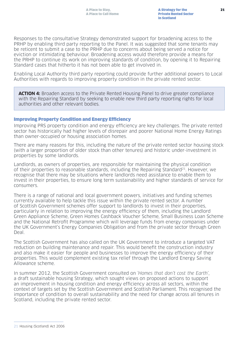Responses to the consultative Strategy demonstrated support for broadening access to the PRHP by enabling third party reporting to the Panel. It was suggested that some tenants may be reticent to submit a case to the PRHP due to concerns about being served a notice for eviction or intimidating behaviour. Broadening access would therefore provide a means for the PRHP to continue its work on improving standards of condition, by opening it to Repairing Standard cases that hitherto it has not been able to get involved in.

Enabling Local Authority third party reporting could provide further additional powers to Local Authorities with regards to improving property condition in the private rented sector.

**ACTION 4:** Broaden access to the Private Rented Housing Panel to drive greater compliance with the Repairing Standard by seeking to enable new third party reporting rights for local authorities and other relevant bodies.

#### Improving Property Condition and Energy Efficiency

Improving PRS property condition and energy efficiency are key challenges. The private rented sector has historically had higher levels of disrepair and poorer National Home Energy Ratings than owner-occupied or housing association homes.

There are many reasons for this, including the nature of the private rented sector housing stock (with a larger proportion of older stock than other tenures) and historic under-investment in properties by some landlords.

Landlords, as owners of properties, are responsible for maintaining the physical condition of their properties to reasonable standards, including the Repairing Standard<sup>21</sup>. However, we recognise that there may be situations where landlords need assistance to enable them to invest in their properties, to ensure long term sustainability and higher standards of service for consumers.

There is a range of national and local government powers, initiatives and funding schemes currently available to help tackle this issue within the private rented sector. A number of Scottish Government schemes offer support to landlords to invest in their properties, particularly in relation to improving the energy efficiency of them, including the Landlord Green Appliance Scheme, Green Homes Cashback Voucher Scheme, Small Business Loan Scheme and the National Retrofit Programme which will leverage funds from energy companies under the UK Government's Energy Companies Obligation and from the private sector through Green Deal.

The Scottish Government has also called on the UK Government to introduce a targeted VAT reduction on building maintenance and repair. This would benefit the construction industry and also make it easier for people and businesses to improve the energy efficiency of their properties. This would complement existing tax relief through the Landlord Energy Saving Allowance scheme.

In summer 2012, the Scottish Government consulted on 'Homes that don't cost the Earth', a draft sustainable housing Strategy, which sought views on proposed actions to support an improvement in housing condition and energy efficiency across all sectors, within the context of targets set by the Scottish Government and Scottish Parliament. This recognised the importance of condition to overall sustainability and the need for change across all tenures in Scotland, including the private rented sector.

<sup>21</sup> Housing (Scotland) Act 2006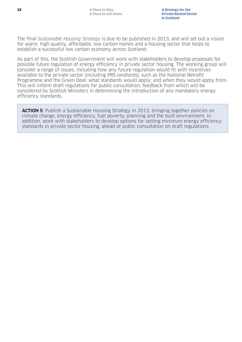The final Sustainable Housing Strategy is due to be published in 2013, and will set out a vision for warm, high quality, affordable, low carbon homes and a housing sector that helps to establish a successful low carbon economy across Scotland.

As part of this, the Scottish Government will work with stakeholders to develop proposals for possible future regulation of energy efficiency in private sector housing. The working group will consider a range of issues, including how any future regulation would fit with incentives available to the private sector (including PRS landlords), such as the National Retrofit Programme and the Green Deal; what standards would apply; and when they would apply from. This will inform draft regulations for public consultation, feedback from which will be considered by Scottish Ministers in determining the introduction of any mandatory energy efficiency standards.

**ACTION 5**: Publish a Sustainable Housing Strategy in 2013, bringing together policies on climate change, energy efficiency, fuel poverty, planning and the built environment. In addition, work with stakeholders to develop options for setting minimum energy efficiency standards in private sector housing, ahead of public consultation on draft regulations.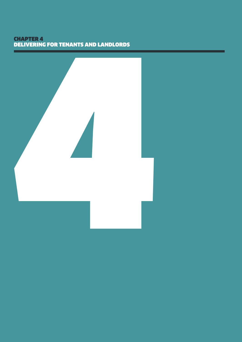# CHAPTER 4 DELIVERING FOR TENANTS AND LANDLORDS

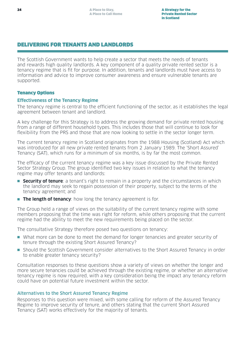# DELIVERING FOR TENANTS AND LANDLORDS

The Scottish Government wants to help create a sector that meets the needs of tenants and rewards high quality landlords. A key component of a quality private rented sector is a tenancy regime that is fit for purpose. In addition, tenants and landlords must have access to information and advice to improve consumer awareness and ensure vulnerable tenants are supported.

### Tenancy Options

#### **Effectiveness of the Tenancy Regime**

The tenancy regime is central to the efficient functioning of the sector, as it establishes the legal agreement between tenant and landlord.

A key challenge for this Strategy is to address the growing demand for private rented housing from a range of different household types. This includes those that will continue to look for flexibility from the PRS and those that are now looking to settle in the sector longer term.

The current tenancy regime in Scotland originates from the 1988 Housing (Scotland) Act which was introduced for all new private rented tenants from 2 January 1989. The 'Short Assured' Tenancy (SAT), which runs for a minimum of six months, is by far the most common.

The efficacy of the current tenancy regime was a key issue discussed by the Private Rented Sector Strategy Group. The group identified two key issues in relation to what the tenancy regime may offer tenants and landlords:

- **Security of tenure**: a tenant's right to remain in a property and the circumstances in which the landlord may seek to regain possession of their property, subject to the terms of the tenancy agreement; and
- **n The length of tenancy**: how long the tenancy agreement is for.

The Group held a range of views on the suitability of the current tenancy regime with some members proposing that the time was right for reform, while others proposing that the current regime had the ability to meet the new requirements being placed on the sector.

The consultative Strategy therefore posed two questions on tenancy:

- n What more can be done to meet the demand for longer tenancies and greater security of tenure through the existing Short Assured Tenancy?
- n Should the Scottish Government consider alternatives to the Short Assured Tenancy in order to enable greater tenancy security?

Consultation responses to these questions show a variety of views on whether the longer and more secure tenancies could be achieved through the existing regime, or whether an alternative tenancy regime is now required, with a key consideration being the impact any tenancy reform could have on potential future investment within the sector.

## Alternatives to the Short Assured Tenancy Regime

Responses to this question were mixed, with some calling for reform of the Assured Tenancy Regime to improve security of tenure, and others stating that the current Short Assured Tenancy (SAT) works effectively for the majority of tenants.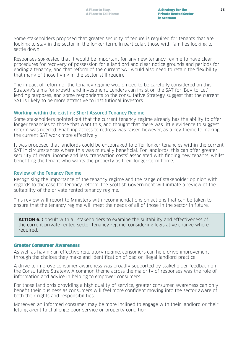Some stakeholders proposed that greater security of tenure is required for tenants that are looking to stay in the sector in the longer term. In particular, those with families looking to settle down.

Responses suggested that it would be important for any new tenancy regime to have clear procedures for recovery of possession for a landlord and clear notice grounds and periods for ending a tenancy, and that reform of the current SAT would also need to retain the flexibility that many of those living in the sector still require.

The impact of reform of the tenancy regime would need to be carefully considered on this Strategy's aims for growth and investment. Lenders can insist on the SAT for 'Buy-to-Let' lending purposes, and some respondents to the consultative Strategy suggest that the current SAT is likely to be more attractive to institutional investors.

#### Working within the existing Short Assured Tenancy Regime

Some stakeholders pointed out that the current tenancy regime already has the ability to offer longer tenancies to those that want this, and thought that there was little evidence to suggest reform was needed. Enabling access to redress was raised however, as a key theme to making the current SAT work more effectively.

It was proposed that landlords could be encouraged to offer longer tenancies within the current SAT in circumstances where this was mutually beneficial. For landlords, this can offer greater security of rental income and less 'transaction costs' associated with finding new tenants, whilst benefiting the tenant who wants the property as their longer-term home.

#### Review of the Tenancy Regime

Recognising the importance of the tenancy regime and the range of stakeholder opinion with regards to the case for tenancy reform, the Scottish Government will initiate a review of the suitability of the private rented tenancy regime.

This review will report to Ministers with recommendations on actions that can be taken to ensure that the tenancy regime will meet the needs of all of those in the sector in future.

**ACTION 6:** Consult with all stakeholders to examine the suitability and effectiveness of the current private rented sector tenancy regime, considering legislative change where required.

#### Greater Consumer Awareness

As well as having an effective regulatory regime, consumers can help drive improvement through the choices they make and identification of bad or illegal landlord practice.

A drive to improve consumer awareness was broadly supported by stakeholder feedback on the Consultative Strategy. A common theme across the majority of responses was the role of information and advice in helping to empower consumers.

For those landlords providing a high quality of service, greater consumer awareness can only benefit their business as consumers will feel more confident moving into the sector aware of both their rights and responsibilities.

Moreover, an informed consumer may be more inclined to engage with their landlord or their letting agent to challenge poor service or property condition.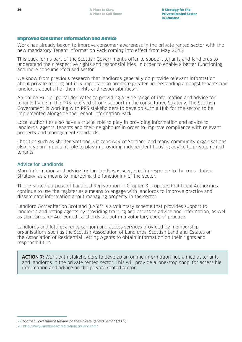#### Improved Consumer Information and Advice

Work has already begun to improve consumer awareness in the private rented sector with the new mandatory Tenant Information Pack coming into effect from May 2013.

This pack forms part of the Scottish Government's offer to support tenants and landlords to understand their respective rights and responsibilities, in order to enable a better functioning and more consumer-focused sector.

We know from previous research that landlords generally do provide relevant information about private renting but it is important to promote greater understanding amongst tenants and landlords about all of their rights and responsibilities<sup>22</sup>.

An online Hub or portal dedicated to providing a wide range of information and advice for tenants living in the PRS received strong support in the consultative Strategy. The Scottish Government is working with PRS stakeholders to develop such a Hub for the sector, to be implemented alongside the Tenant Information Pack.

Local authorities also have a crucial role to play in providing information and advice to landlords, agents, tenants and their neighbours in order to improve compliance with relevant property and management standards.

Charities such as Shelter Scotland, Citizens Advice Scotland and many community organisations also have an important role to play in providing independent housing advice to private rented tenants.

#### Advice for Landlords

More information and advice for landlords was suggested in response to the consultative Strategy, as a means to improving the functioning of the sector.

The re-stated purpose of Landlord Registration in Chapter 3 proposes that Local Authorities continue to use the register as a means to engage with landlords to improve practice and disseminate information about managing property in the sector.

Landlord Accreditation Scotland (LAS)<sup>23</sup> is a voluntary scheme that provides support to landlords and letting agents by providing training and access to advice and information, as well as standards for Accredited Landlords set out in a voluntary code of practice.

Landlords and letting agents can join and access services provided by membership organisations such as the Scottish Association of Landlords, Scottish Land and Estates or the Association of Residential Letting Agents to obtain information on their rights and responsibilities.

**ACTION 7:** Work with stakeholders to develop an online information hub aimed at tenants and landlords in the private rented sector. This will provide a 'one-stop shop' for accessible information and advice on the private rented sector.

<sup>22</sup> Scottish Government Review of the Private Rented Sector (2009)

<sup>23</sup> http://www.landlordaccreditationscotland.com/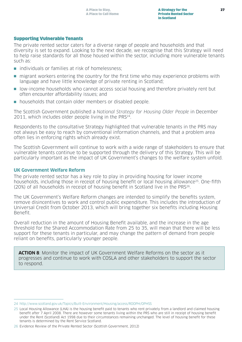#### Supporting Vulnerable Tenants

The private rented sector caters for a diverse range of people and households and that diversity is set to expand. Looking to the next decade, we recognise that this Strategy will need to help raise standards for all those housed within the sector, including more vulnerable tenants such as:

- $\blacksquare$  individuals or families at risk of homelessness;
- n migrant workers entering the country for the first time who may experience problems with language and have little knowledge of private renting in Scotland;
- n low-income households who cannot access social housing and therefore privately rent but often encounter affordability issues; and
- n households that contain older members or disabled people.

The Scottish Government published a National Strategy for Housing Older People in December 2011, which includes older people living in the PRS<sup>24</sup>.

Respondents to the consultative Strategy highlighted that vulnerable tenants in the PRS may not always be easy to reach by conventional information channels, and that a problem area often lies in enforcing rights which already exist.

The Scottish Government will continue to work with a wide range of stakeholders to ensure that vulnerable tenants continue to be supported through the delivery of this Strategy. This will be particularly important as the impact of UK Government's changes to the welfare system unfold.

#### **UK Government Welfare Reform**

The private rented sector has a key role to play in providing housing for lower income households, including those in receipt of housing benefit or local housing allowance<sup>25</sup>. One-fifth (20%) of all households in receipt of housing benefit in Scotland live in the PRS26.

The UK Government's Welfare Reform changes are intended to simplify the benefits system, remove disincentives to work and control public expenditure. This includes the introduction of Universal Credit from October 2013, which will bring together six benefits including Housing Benefit.

Overall reduction in the amount of Housing Benefit available, and the increase in the age threshold for the Shared Accommodation Rate from 25 to 35, will mean that there will be less support for these tenants in particular, and may change the pattern of demand from people reliant on benefits, particularly younger people.

**ACTION 8**: Monitor the impact of UK Government Welfare Reforms on the sector as it progresses and continue to work with COSLA and other stakeholders to support the sector to respond.

<sup>24</sup> http://www.scotland.gov.uk/Topics/Built-Environment/Housing/access/ROOPH/OPHSS

<sup>25</sup> Local Housing Allowance (LHA) is the housing benefit paid to tenants who rent privately from a landlord and claimed housing benefit after 7 April 2008. There are however some tenants living within the PRS who are still in receipt of housing benefit under the Rent (Scotland) Act 1998 due to their circumstances remaining unchanged. The level of housing benefit for these tenants is determined by the Rent Service Scotland.

<sup>26</sup> Evidence Review of the Private Rented Sector (Scottish Government, 2012)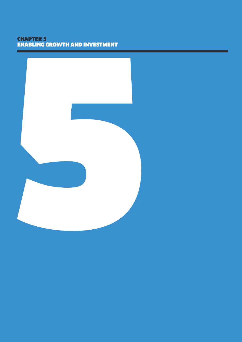# CHAPTER 5 ENABLING GROWTH AND INVESTMENT

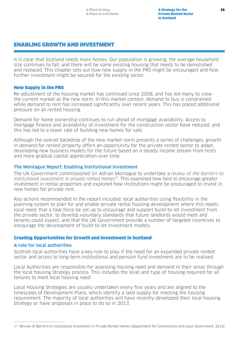# ENABLING GROWTH AND INVESTMENT

It is clear that Scotland needs more homes. Our population is growing; the average household size continues to fall; and there will be some existing housing that needs to be demolished and replaced. This chapter sets out how new supply in the PRS might be encouraged and how further investment might be secured for the existing sector.

#### New Supply in the PRS

Re-adjustment of the housing market has continued since 2008, and has led many to view the current market as the new norm. In this market context, demand to buy is constrained while demand to rent has increased significantly over recent years. This has placed additional pressure on all rented housing.

Demand for home ownership continues to run ahead of mortgage availability. Access to mortgage finance and availability of investment for the construction sector have reduced, and this has led to a lower rate of building new homes for sale.

Although the overall backdrop of the new market norm presents a series of challenges, growth in demand for rented property offers an opportunity for the private rented sector to adapt, developing new business models for the future based on a steady income stream from rents and more gradual capital appreciation over time.

#### **The Montague Report: Enabling Institutional Investment**

The UK Government commissioned Sir Adrian Montague to undertake a review of the barriers to institutional investment in private rented homes<sup>27</sup>. This examined how best to encourage greater investment in rental properties and explored how institutions might be encouraged to invest in new homes for private rent.

Key actions recommended in the report included: local authorities using flexibility in the planning system to plan for and enable private rental housing development where this meets local need; that a task force be set up to encourage and support build-to-let investment from the private sector; to develop voluntary standards that future landlords would meet and tenants could expect; and that the UK Government provide a number of targeted incentives to encourage the development of build-to-let investment models.

#### Creating Opportunities for Growth and Investment in Scotland

#### **A role for local authorities**

Scottish local authorities have a key role to play if the need for an expanded private rented sector and access to long-term institutional and pension fund investment are to be realised.

Local Authorities are responsible for assessing housing need and demand in their areas through the local housing Strategy process. This includes the level and type of housing required for all tenures to meet local housing need.

Local Housing Strategies are usually undertaken every five years and are aligned to the timescales of Development Plans, which identify a land supply for meeting the housing requirement. The majority of local authorities will have recently developed their local housing Strategy or have proposals in place to do so in 2013.

<sup>27</sup> Review of Barriers to Institutional Investment in Private Rented Homes (Department for Communities and Local Government, 2012)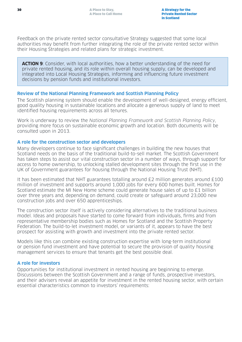Feedback on the private rented sector consultative Strategy suggested that some local authorities may benefit from further integrating the role of the private rented sector within their Housing Strategies and related plans for strategic investment.

**ACTION 9**: Consider, with local authorities, how a better understanding of the need for private rented housing, and its role within overall housing supply, can be developed and integrated into Local Housing Strategies, informing and influencing future investment decisions by pension funds and institutional investors.

### **Review of the National Planning Framework and Scottish Planning Policy**

The Scottish planning system should enable the development of well-designed, energy efficient, good quality housing in sustainable locations and allocate a generous supply of land to meet identified housing requirements across all tenures.

Work is underway to review the National Planning Framework and Scottish Planning Policy, providing more focus on sustainable economic growth and location. Both documents will be consulted upon in 2013.

### **A role for the construction sector and developers**

Many developers continue to face significant challenges in building the new houses that Scotland needs on the basis of the traditional build-to-sell market. The Scottish Government has taken steps to assist our vital construction sector in a number of ways, through support for access to home ownership, to unlocking stalled development sites through the first use in the UK of Government guarantees for housing through the National Housing Trust (NHT).

It has been estimated that NHT guarantees totalling around £2 million generates around £100 million of investment and supports around 1,000 jobs for every 600 homes built. Homes for Scotland estimate the MI New Home scheme could generate house sales of up to £1 billion over three years and, depending on demand, could create or safeguard around 23,000 new construction jobs and over 650 apprenticeships.

The construction sector itself is actively considering alternatives to the traditional business model. Ideas and proposals have started to come forward from individuals, firms and from representative membership bodies such as Homes for Scotland and the Scottish Property Federation. The build-to-let investment model, or variants of it, appears to have the best prospect for assisting with growth and investment into the private rented sector.

Models like this can combine existing construction expertise with long-term institutional or pension fund investment and have potential to secure the provision of quality housing management services to ensure that tenants get the best possible deal.

#### **A role for investors**

Opportunities for institutional investment in rented housing are beginning to emerge. Discussions between the Scottish Government and a range of funds, prospective investors, and their advisers reveal an appetite for investment in the rented housing sector, with certain essential characteristics common to investors' requirements: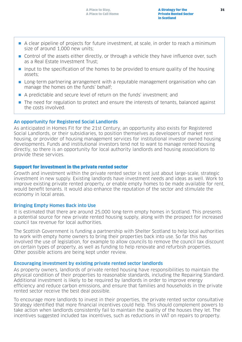- **•** A clear pipeline of projects for future investment, at scale, in order to reach a minimum size of around 1,000 new units;
- **n** Control of the assets either directly, or through a vehicle they have influence over, such as a Real Estate Investment Trust;
- n Input to the specification of the homes to be provided to ensure quality of the housing assets;
- **n** Long-term partnering arrangement with a reputable management organisation who can manage the homes on the funds' behalf;
- n A predictable and secure level of return on the funds' investment; and
- n The need for regulation to protect and ensure the interests of tenants, balanced against the costs involved.

### **An opportunity for Registered Social Landlords**

As anticipated in Homes Fit for the 21st Century, an opportunity also exists for Registered Social Landlords, or their subsidiaries, to position themselves as developers of market rent housing, or provider of housing management services for institutional investor owned housing developments. Funds and institutional investors tend not to want to manage rented housing directly, so there is an opportunity for local authority landlords and housing associations to provide these services.

#### Support for investment in the private rented sector

Growth and investment within the private rented sector is not just about large-scale, strategic investment in new supply. Existing landlords have investment needs and ideas as well. Work to improve existing private rented property, or enable empty homes to be made available for rent, would benefit tenants. It would also enhance the reputation of the sector and stimulate the economy in local areas.

#### **Bringing Empty Homes Back into Use**

It is estimated that there are around 25,000 long-term empty homes in Scotland. This presents a potential source for new private rented housing supply, along with the prospect for increased council tax revenue for local authorities.

The Scottish Government is funding a partnership with Shelter Scotland to help local authorities to work with empty home owners to bring their properties back into use. So far this has involved the use of legislation, for example to allow councils to remove the council tax discount on certain types of property, as well as funding to help renovate and refurbish properties. Other possible actions are being kept under review.

#### **Encouraging investment by existing private rented sector landlords**

As property owners, landlords of private rented housing have responsibilities to maintain the physical condition of their properties to reasonable standards, including the Repairing Standard. Additional investment is likely to be required by landlords in order to improve energy efficiency and reduce carbon emissions, and ensure that families and households in the private rented sector receive the best deal possible.

To encourage more landlords to invest in their properties, the private rented sector consultative Strategy identified that more financial incentives could help. This should complement powers to take action when landlords consistently fail to maintain the quality of the houses they let. The incentives suggested included tax incentives, such as reductions in VAT on repairs to property.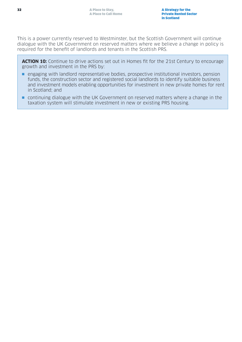This is a power currently reserved to Westminster, but the Scottish Government will continue dialogue with the UK Government on reserved matters where we believe a change in policy is required for the benefit of landlords and tenants in the Scottish PRS.

**ACTION 10:** Continue to drive actions set out in Homes fit for the 21st Century to encourage growth and investment in the PRS by:

- **n** engaging with landlord representative bodies, prospective institutional investors, pension funds, the construction sector and registered social landlords to identify suitable business and investment models enabling opportunities for investment in new private homes for rent in Scotland; and
- $\blacksquare$  continuing dialogue with the UK Government on reserved matters where a change in the taxation system will stimulate investment in new or existing PRS housing.